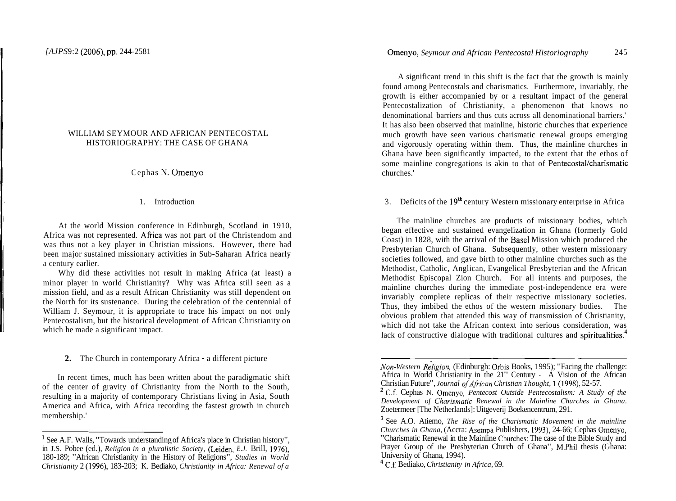## WILLIAM SEYMOUR AND AFRICAN PENTECOSTAL HISTORIOGRAPHY: THE CASE OF GHANA

## Cephas N. Omenyo

#### 1. Introduction

At the world Mission conference in Edinburgh, Scotland in 1910, Africa was not represented. Africa was not part of the Christendom and was thus not a key player in Christian missions. However, there had been major sustained missionary activities in Sub-Saharan Africa nearly a century earlier.

Why did these activities not result in making Africa (at least) a minor player in world Christianity? Why was Africa still seen as a mission field, and as a result African Christianity was still dependent on the North for its sustenance. During the celebration of the centennial of William J. Seymour, it is appropriate to trace his impact on not only Pentecostalism, but the historical development of African Christianity on which he made a significant impact.

**2.** The Church in contemporary Africa - a different picture

In recent times, much has been written about the paradigmatic shift of the center of gravity of Christianity from the North to the South, resulting in a majority of contemporary Christians living in Asia, South America and Africa, with Africa recording the fastest growth in church membership.'

A significant trend in this shift is the fact that the growth is mainly found among Pentecostals and charismatics. Furthermore, invariably, the growth is either accompanied by or a resultant impact of the general Pentecostalization of Christianity, a phenomenon that knows no denominational barriers and thus cuts across all denominational barriers.' It has also been observed that mainline, historic churches that experience much growth have seen various charismatic renewal groups emerging and vigorously operating within them. Thus, the mainline churches in Ghana have been significantly impacted, to the extent that the ethos of some mainline congregations is akin to that of Pentecostal/charismatic churches.'

# 3. Deficits of the  $19<sup>th</sup>$  century Western missionary enterprise in Africa

The mainline churches are products of missionary bodies, which began effective and sustained evangelization in Ghana (formerly Gold Coast) in 1828, with the arrival of the Base1 Mission which produced the Presbyterian Church of Ghana. Subsequently, other western missionary societies followed, and gave birth to other mainline churches such as the Methodist, Catholic, Anglican, Evangelical Presbyterian and the African Methodist Episcopal Zion Church. For all intents and purposes, the mainline churches during the immediate post-independence era were invariably complete replicas of their respective missionary societies. Thus, they imbibed the ethos of the western missionary bodies. The obvious problem that attended this way of transmission of Christianity, which did not take the African context into serious consideration, was lack of constructive dialogue with traditional cultures and spiritualities.<sup>4</sup>

<sup>&</sup>lt;sup>1</sup> See A.F. Walls, "Towards understanding of Africa's place in Christian history", in J.S. Pobee (ed.), *Religion in a pluralistic Society,* (Leiden, *E.J.* Brill, 1976), 180-189; "African Christianity in the History of Religions", *Studies in World Christianity* 2 (1996), 183-203; K. Bediako, *Christianity in Africa: Renewal of a* 

*Non-Western Religion, (Edinburgh: Orbis Books, 1995); "Facing the challenge:* Africa in World Christianity in the 21" Century - A Vision of the African Christian Future", *Journal ofAfrican Christian Thought,* 1 (1998), 52-57.

C.f. Cephas N. Omenyo, *Pentecost Outside Pentecostalism: A Study of the Development of Charismatic Renewal in the Mainline Churches in Ghana.*  Zoetermeer [The Netherlands]: Uitgeverij Boekencentrum, 29 1.

See A.O. Atiemo, *The Rise of the Charismatic Movement in the mainline Churches in Ghana,* (Accra: Asempa Publishers, 1993), 24-66; Cephas Omenyo, "Charismatic Renewal in the Mainline Churches: The case of the Bible Study and Prayer Group of the Presbyterian Church of Ghana", M.Phil thesis (Ghana: University of Ghana, 1994).

C.f. Bediako, *Christianity in Africa,* 69.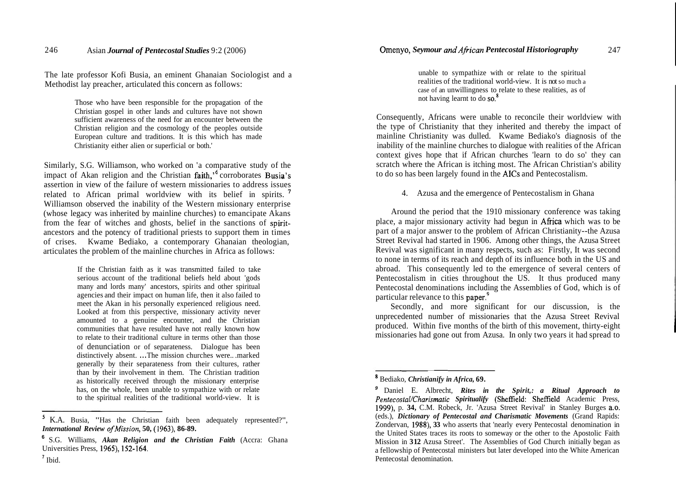The late professor Kofi Busia, an eminent Ghanaian Sociologist and a Methodist lay preacher, articulated this concern as follows:

> Those who have been responsible for the propagation of the Christian gospel in other lands and cultures have not shown sufficient awareness of the need for an encounter between the Christian religion and the cosmology of the peoples outside European culture and traditions. It is this which has made Christianity either alien or superficial or both.'

Similarly, S.G. Williamson, who worked on 'a comparative study of the impact of Akan religion and the Christian faith,<sup>6</sup> corroborates Busia's assertion in view of the failure of western missionaries to address issues related to African primal worldview with its belief in spirits.<sup>7</sup> Williamson observed the inability of the Western missionary enterprise (whose legacy was inherited by mainline churches) to emancipate Akans from the fear of witches and ghosts, belief in the sanctions of spiritancestors and the potency of traditional priests to support them in times of crises. Kwame Bediako, a contemporary Ghanaian theologian, articulates the problem of the mainline churches in Africa as follows:

> If the Christian faith as it was transmitted failed to take serious account of the traditional beliefs held about 'gods many and lords many' ancestors, spirits and other spiritual agencies and their impact on human life, then it also failed to meet the Akan in his personally experienced religious need. Looked at from this perspective, missionary activity never amounted to a genuine encounter, and the Christian communities that have resulted have not really known how to relate to their traditional culture in terms other than those of denunciation or of separateness. Dialogue has been distinctively absent. ... The mission churches were.. .marked generally by their separateness from their cultures, rather than by their involvement in them. The Christian tradition as historically received through the missionary enterprise has, on the whole, been unable to sympathize with or relate to the spiritual realities of the traditional world-view. It is

unable to sympathize with or relate to the spiritual realities of the traditional world-view. It is not so much a case of an unwillingness to relate to these realities, as of not having learnt to do so.'

Consequently, Africans were unable to reconcile their worldview with the type of Christianity that they inherited and thereby the impact of mainline Christianity was dulled. Kwame Bediako's diagnosis of the inability of the mainline churches to dialogue with realities of the African context gives hope that if African churches 'learn to do so' they can scratch where the African is itching most. The African Christian's ability to do so has been largely found in the AICs and Pentecostalism.

4. Azusa and the emergence of Pentecostalism in Ghana

Around the period that the 1910 missionary conference was taking place, a major missionary activity had begun in Africa which was to be part of a major answer to the problem of African Christianity--the Azusa Street Revival had started in 1906. Among other things, the Azusa Street Revival was significant in many respects, such as: Firstly, It was second to none in terms of its reach and depth of its influence both in the US and abroad. This consequently led to the emergence of several centers of Pentecostalism in cities throughout the US. It thus produced many Pentecostal denominations including the Assemblies of God, which is of particular relevance to this **paper.**<sup>9</sup>

Secondly, and more significant for our discussion, is the unprecedented number of missionaries that the Azusa Street Revival produced. Within five months of the birth of this movement, thirty-eight missionaries had gone out from Azusa. In only two years it had spread to

**<sup>5</sup>**K.A. Busia, "Has the Christian faith been adequately represented?", *International Review of Mission, 50, (1963), 86-89.* 

**<sup>6</sup>**S.G. Williams, *Akan Religion and the Christian Faith* (Accra: Ghana Universities Press, **1965), 152-164.** 

**<sup>7</sup>**Ibid.

Bediako, *Christianify in Africa,* **69.** 

**<sup>9</sup>**Daniel E. Albrecht, *Rites in the Spirit,: a Ritual Approach to Pentecostal/Charismatic Spiritualify* (Shefield: Shefield Academic Press, **1999),** p. **34,** C.M. Robeck, Jr. 'Azusa Street Revival' in Stanley Burges a.0. (eds.), *Dictionary of Pentecostal and Charismatic Movements* (Grand Rapids: Zondervan, **1988), 33** who asserts that 'nearly every Pentecostal denomination in the United States traces its roots to someway or the other to the Apostolic Faith Mission in **3 12** Azusa Street'. The Assemblies of God Church initially began as a fellowship of Pentecostal ministers but later developed into the White American Pentecostal denomination.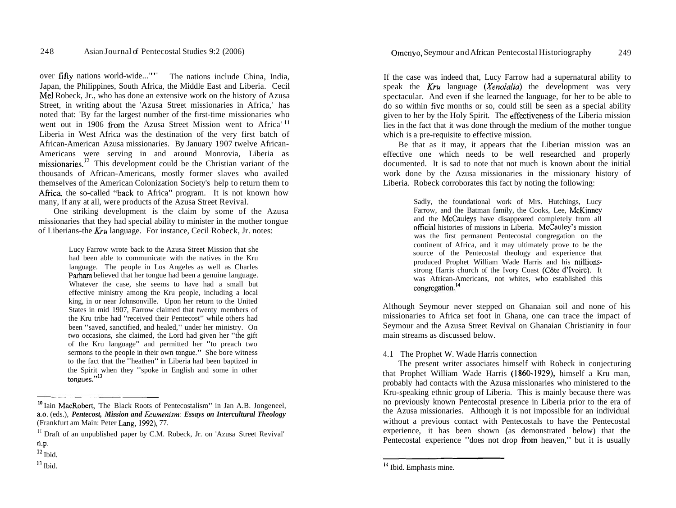over fifty nations world-wide...'"' The nations include China, India, Japan, the Philippines, South Africa, the Middle East and Liberia. Cecil Me1 Robeck, Jr., who has done an extensive work on the history of Azusa Street, in writing about the 'Azusa Street missionaries in Africa,' has noted that: 'By far the largest number of the first-time missionaries who went out in 1906 from the Azusa Street Mission went to Africa' II Liberia in West Africa was the destination of the very first batch of African-American Azusa missionaries. By January 1907 twelve African-Americans were serving in and around Monrovia, Liberia as  $missionaries.$ <sup>12</sup> This development could be the Christian variant of the thousands of African-Americans, mostly former slaves who availed themselves of the American Colonization Society's help to return them to Africa, the so-called "back to Africa" program. It is not known how many, if any at all, were products of the Azusa Street Revival.

One striking development is the claim by some of the Azusa missionaries that they had special ability to minister in the mother tongue of Liberians-the Kru language. For instance, Cecil Robeck, Jr. notes:

> Lucy Farrow wrote back to the Azusa Street Mission that she had been able to communicate with the natives in the Kru language. The people in Los Angeles as well as Charles Parham believed that her tongue had been a genuine language. Whatever the case, she seems to have had a small but effective ministry among the Kru people, including a local king, in or near Johnsonville. Upon her return to the United States in mid 1907, Farrow claimed that twenty members of the Kru tribe had "received their Pentecost" while others had been "saved, sanctified, and healed," under her ministry. On two occasions, she claimed, the Lord had given her "the gift of the Kru language" and permitted her "to preach two sermons to the people in their own tongue." She bore witness to the fact that the "heathen" in Liberia had been baptized in the Spirit when they "spoke in English and some in other tongues."<sup>13</sup>

If the case was indeed that, Lucy Farrow had a supernatural ability to speak the Kru language (Xenolalia) the development was very spectacular. And even if she learned the language, for her to be able to do so within five months or so, could still be seen as a special ability given to her by the Holy Spirit. The effectiveness of the Liberia mission lies in the fact that it was done through the medium of the mother tongue which is a pre-requisite to effective mission.

Be that as it may, it appears that the Liberian mission was an effective one which needs to be well researched and properly documented. It is sad to note that not much is known about the initial work done by the Azusa missionaries in the missionary history of Liberia. Robeck corroborates this fact by noting the following:

> Sadly, the foundational work of Mrs. Hutchings, Lucy Farrow, and the Batman family, the Cooks, Lee, McKinney and the McCauleys have disappeared completely from all official histories of missions in Liberia. McCauley's mission was the first permanent Pentecostal congregation on the continent of Africa, and it may ultimately prove to be the source of the Pentecostal theology and experience that produced Prophet William Wade Harris and his millionsstrong Harris church of the Ivory Coast (Côte d'Ivoire). It was African-Americans, not whites, who established this congregation.<sup>14</sup>

Although Seymour never stepped on Ghanaian soil and none of his missionaries to Africa set foot in Ghana, one can trace the impact of Seymour and the Azusa Street Revival on Ghanaian Christianity in four main streams as discussed below.

#### 4.1 The Prophet W. Wade Harris connection

The present writer associates himself with Robeck in conjecturing that Prophet William Wade Harris (1860-1929), himself a Kru man, probably had contacts with the Azusa missionaries who ministered to the Kru-speaking ethnic group of Liberia. This is mainly because there was no previously known Pentecostal presence in Liberia prior to the era of the Azusa missionaries. Although it is not impossible for an individual without a previous contact with Pentecostals to have the Pentecostal experience, it has been shown (as demonstrated below) that the Pentecostal experience "does not drop from heaven," but it is usually without a previo<br>experience, it h<br>Pentecostal exper<br><sup>14</sup> Ibid Emphasis m

**<sup>10</sup>**Iain MacRobert, 'The Black Roots of Pentecostalism" in Jan A.B. Jongeneel, a.0. (eds.), *Pentecost, Mission and Ecumenism: Essays on Intercultural Theology*  (Frankfurt am Main: Peter Lang, 1992), 77.

 $\textsuperscript{II}$  Draft of an unpublished paper by C.M. Robeck, Jr. on 'Azusa Street Revival' n.p.

**<sup>12</sup>**Ibid.

l3 Ibid.

**l4** Ibid. Emphasis mine.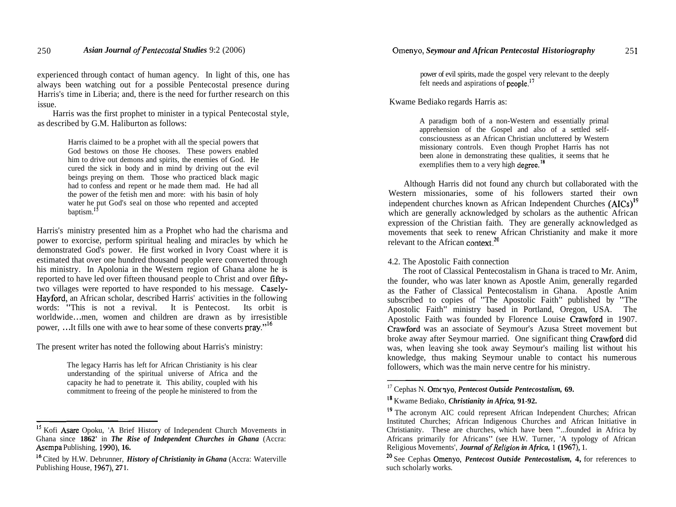experienced through contact of human agency. In light of this, one has always been watching out for a possible Pentecostal presence during Harris's time in Liberia; and, there is the need for further research on this issue.

Harris was the first prophet to minister in a typical Pentecostal style, as described by G.M. Haliburton as follows:

> Harris claimed to be a prophet with all the special powers that God bestows on those He chooses. These powers enabled him to drive out demons and spirits, the enemies of God. He cured the sick in body and in mind by driving out the evil beings preying on them. Those who practiced black magic had to confess and repent or he made them mad. He had all the power of the fetish men and more: with his basin of holy water he put God's seal on those who repented and accepted baptism.<sup>15</sup>

Harris's ministry presented him as a Prophet who had the charisma and power to exorcise, perform spiritual healing and miracles by which he demonstrated God's power. He first worked in Ivory Coast where it is estimated that over one hundred thousand people were converted through his ministry. In Apolonia in the Western region of Ghana alone he is reported to have led over fifteen thousand people to Christ and over fiftytwo villages were reported to have responded to his message. Casely-Hayford, an African scholar, described Harris' activities in the following words: "This is not a revival. It is Pentecost. Its orbit is worldwide ... men, women and children are drawn as by irresistible power, ... It fills one with awe to hear some of these converts pray."<sup>16</sup>

The present writer has noted the following about Harris's ministry:

The legacy Harris has left for African Christianity is his clear understanding of the spiritual universe of Africa and the capacity he had to penetrate it. This ability, coupled with his commitment to freeing of the people he ministered to from the

power of evil spirits, made the gospel very relevant to the deeply felt needs and aspirations of people.<sup>17</sup>

# Kwame Bediako regards Harris as:

A paradigm both of a non-Western and essentially primal apprehension of the Gospel and also of a settled selfconsciousness as an African Christian uncluttered by Western missionary controls. Even though Prophet Harris has not been alone in demonstrating these qualities, it seems that he exemplifies them to a very high degree.<sup>18</sup>

Although Harris did not found any church but collaborated with the Western missionaries, some of his followers started their own independent churches known as African Independent Churches  $(AICs)^{19}$ which are generally acknowledged by scholars as the authentic African expression of the Christian faith. They are generally acknowledged as movements that seek to renew African Christianity and make it more relevant to the African context.20

# 4.2. The Apostolic Faith connection

The root of Classical Pentecostalism in Ghana is traced to Mr. Anim, the founder, who was later known as Apostle Anim, generally regarded as the Father of Classical Pentecostalism in Ghana. Apostle Anim subscribed to copies of "The Apostolic Faith" published by "The Apostolic Faith" ministry based in Portland, Oregon, USA. The Apostolic Faith was founded by Florence Louise Crawford in 1907. Crawford was an associate of Seymour's Azusa Street movement but broke away after Seymour married. One significant thing Crawford did was, when leaving she took away Seymour's mailing list without his knowledge, thus making Seymour unable to contact his numerous followers, which was the main nerve centre for his ministry.

<sup>&</sup>lt;sup>15</sup> Kofi Asare Opoku, 'A Brief History of Independent Church Movements in Ghana since **1862'** in *The Rise of Independent Churches in Ghana* (Accra: Asempa Publishing, **1990), 16.** 

l6 Cited by H.W. Debrunner, *History of Christianity in Ghana* (Accra: Waterville Publishing House, **1967), 27 1.** 

<sup>17</sup> Cephas N. Omc~yo, *Pentecost Outside Pentecostalism,* **69.** 

**<sup>18</sup>**Kwame Bediako, *Christianity in Africa,* **91-92.** 

<sup>&</sup>lt;sup>19</sup> The acronym AIC could represent African Independent Churches; African Instituted Churches; African Indigenous Churches and African Initiative in Christianity. These are churches, which have been "...founded in Africa by Africans primarily for Africans" (see H.W. Turner, 'A typology of African Religious Movements', *Journal of Religion in Africa*, 1 (1967), 1.

<sup>20</sup> See Cephas Omenyo, *Pentecost Outside Pentecostalism,* **4,** for references to such scholarly works.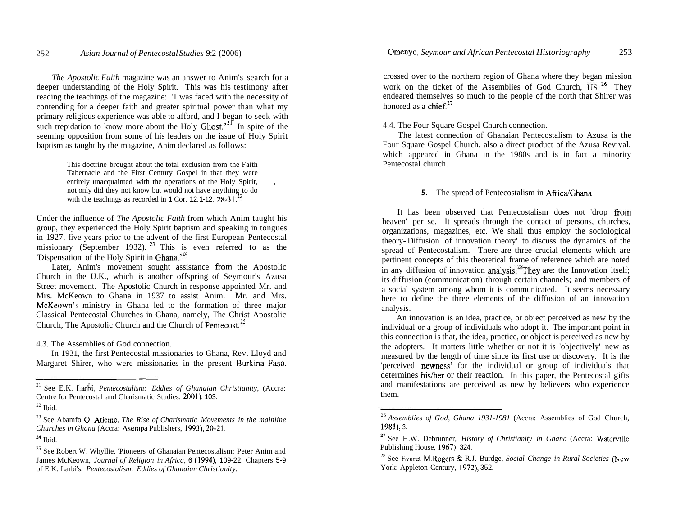*The Apostolic Faith* magazine was an answer to Anim's search for a deeper understanding of the Holy Spirit. This was his testimony after reading the teachings of the magazine: 'I was faced with the necessity of contending for a deeper faith and greater spiritual power than what my primary religious experience was able to afford, and I began to seek with such trepidation to know more about the Holy  $G$ host.<sup>21</sup> In spite of the seeming opposition from some of his leaders on the issue of Holy Spirit baptism as taught by the magazine, Anim declared as follows:

> This doctrine brought about the total exclusion from the Faith Tabernacle and the First Century Gospel in that they were entirely unacquainted with the operations of the Holy Spirit, not only did they not know but would not have anything to do with the teachings as recorded in 1 Cor. 12:1-12,  $28-31$ .

Under the influence of *The Apostolic Faith* from which Anim taught his group, they experienced the Holy Spirit baptism and speaking in tongues in 1927, five years prior to the advent of the first European Pentecostal missionary (September 1932).  $\sim$  This is even referred to as the 'Dispensation of the Holy Spirit in Ghana.'<sup>2</sup>

Later, Anim's movement sought assistance from the Apostolic Church in the U.K., which is another offspring of Seymour's Azusa Street movement. The Apostolic Church in response appointed Mr. and Mrs. McKeown to Ghana in 1937 to assist Anim. Mr. and Mrs. McKeown's ministry in Ghana led to the formation of three major Classical Pentecostal Churches in Ghana, namely, The Christ Apostolic Church, The Apostolic Church and the Church of Pentecost. $^{25}$ 

4.3. The Assemblies of God connection.

In 1931, the first Pentecostal missionaries to Ghana, Rev. Lloyd and Margaret Shirer, who were missionaries in the present Burkina Faso, 3. The Assem<br>In 1931, the<br>argaret Shire

crossed over to the northern region of Ghana where they began mission work on the ticket of the Assemblies of God Church, US.<sup>26</sup> They endeared themselves so much to the people of the north that Shirer was honored as a chief. $27$ 

4.4. The Four Square Gospel Church connection.

The latest connection of Ghanaian Pentecostalism to Azusa is the Four Square Gospel Church, also a direct product of the Azusa Revival, which appeared in Ghana in the 1980s and is in fact a minority Pentecostal church.

**5.** The spread of Pentecostalism in Africa/Ghana

It has been observed that Pentecostalism does not 'drop from heaven' per se. It spreads through the contact of persons, churches, organizations, magazines, etc. We shall thus employ the sociological theory-'Diffusion of innovation theory' to discuss the dynamics of the spread of Pentecostalism. There are three crucial elements which are pertinent concepts of this theoretical frame of reference which are noted in any diffusion of innovation analysis.<sup>28</sup>They are: the Innovation itself: its diffusion (communication) through certain channels; and members of a social system among whom it is communicated. It seems necessary here to define the three elements of the diffusion of an innovation analysis.

An innovation is an idea, practice, or object perceived as new by the individual or a group of individuals who adopt it. The important point in this connection is that, the idea, practice, or object is perceived as new by the adopters. It matters little whether or not it is 'objectively' new as measured by the length of time since its first use or discovery. It is the 'perceived newness' for the individual or group of individuals that determines his/her or their reaction. In this paper, the Pentecostal gifts and manifestations are perceived as new by believers who experience them.

<sup>&</sup>lt;sup>21</sup> See E.K. Larbi, *Pentecostalism: Eddies of Ghanaian Christianity*, (Accra: Centre for Pentecostal and Charismatic Studies, 2001), 103.

 $22$  Ibid.

<sup>23</sup> See Abamfo *0.* Atiemo, *The Rise of Charismatic Movements in the mainline Churches in Ghana* (Accra: Asempa Publishers, 1993), 20-21. <sup>24</sup> Ibid.

 $25$  See Robert W. Whyllie, 'Pioneers of Ghanaian Pentecostalism: Peter Anim and James McKeown, *Journal of Religion in Africa,* 6 (1994), 109-22; Chapters 5-9 of E.K. Larbi's, *Pentecostalism: Eddies of Ghanaian Christianity.* 

<sup>26</sup>*Assemblies of God, Ghana 1931-1981* (Accra: Assemblies of God Church, 1981), 3.

**<sup>27</sup>**See H.W. Debrunner, *History of Christianity in Ghana* (Accra: Watewille Publishing House, 1967), 324.

<sup>28</sup> See Evaret M.Rogers & R.J. Burdge, *Social Change in Rural Societies* (New York: Appleton-Century, 1972), 352.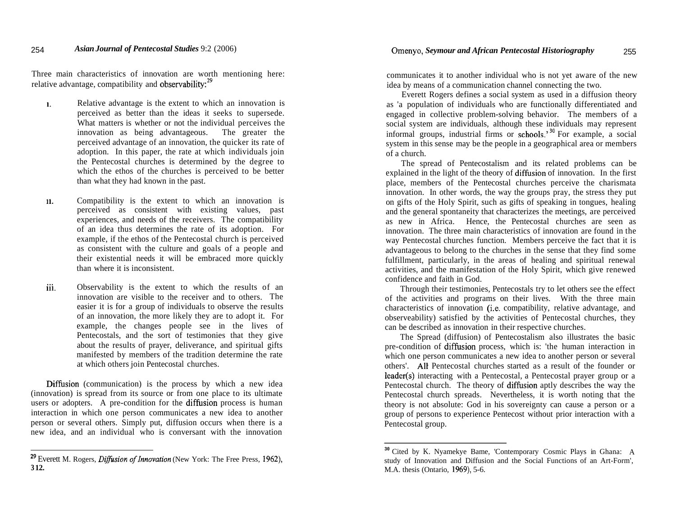Three main characteristics of innovation are worth mentioning here: relative advantage, compatibility and observability: $^{29}$ 

- **1.** Relative advantage is the extent to which an innovation is perceived as better than the ideas it seeks to supersede. What matters is whether or not the individual perceives the innovation as being advantageous. The greater the perceived advantage of an innovation, the quicker its rate of adoption. In this paper, the rate at which individuals join the Pentecostal churches is determined by the degree to which the ethos of the churches is perceived to be better than what they had known in the past.
- **11.** Compatibility is the extent to which an innovation is perceived as consistent with existing values, past experiences, and needs of the receivers. The compatibility of an idea thus determines the rate of its adoption. For example, if the ethos of the Pentecostal church is perceived as consistent with the culture and goals of a people and their existential needs it will be embraced more quickly than where it is inconsistent.
- iii. Observability is the extent to which the results of an innovation are visible to the receiver and to others. The easier it is for a group of individuals to observe the results of an innovation, the more likely they are to adopt it. For example, the changes people see in the lives of Pentecostals, and the sort of testimonies that they give about the results of prayer, deliverance, and spiritual gifts manifested by members of the tradition determine the rate at which others join Pentecostal churches.

Diffusion (communication) is the process by which a new idea (innovation) is spread from its source or from one place to its ultimate users or adopters. A pre-condition for the diffusion process is human interaction in which one person communicates a new idea to another person or several others. Simply put, diffusion occurs when there is a new idea, and an individual who is conversant with the innovation

communicates it to another individual who is not yet aware of the new idea by means of a communication channel connecting the two.

Everett Rogers defines a social system as used in a diffusion theory as 'a population of individuals who are functionally differentiated and engaged in collective problem-solving behavior. The members of a social system are individuals, although these individuals may represent informal groups, industrial firms or schools.'30 For example, a social system in this sense may be the people in a geographical area or members of a church.

The spread of Pentecostalism and its related problems can be explained in the light of the theory of difhsion of innovation. In the first place, members of the Pentecostal churches perceive the charismata innovation. In other words, the way the groups pray, the stress they put on gifts of the Holy Spirit, such as gifts of speaking in tongues, healing and the general spontaneity that characterizes the meetings, are perceived as new in Africa. Hence, the Pentecostal churches are seen as innovation. The three main characteristics of innovation are found in the way Pentecostal churches function. Members perceive the fact that it is advantageous to belong to the churches in the sense that they find some fulfillment, particularly, in the areas of healing and spiritual renewal activities, and the manifestation of the Holy Spirit, which give renewed confidence and faith in God.

Through their testimonies, Pentecostals try to let others see the effect of the activities and programs on their lives. With the three main characteristics of innovation (i.e. compatibility, relative advantage, and observeability) satisfied by the activities of Pentecostal churches, they can be described as innovation in their respective churches.

The Spread (diffusion) of Pentecostalism also illustrates the basic pre-condition of difhsion process, which is: 'the human interaction in which one person communicates a new idea to another person or several others'. Alk Pentecostal churches started as a result of the founder or leader(s) interacting with a Pentecostal, a Pentecostal prayer group or a Pentecostal church. The theory of difhsion aptly describes the way the Pentecostal church spreads. Nevertheless, it is worth noting that the theory is not absolute: God in his sovereignty can cause a person or a group of persons to experience Pentecost without prior interaction with a Pentecostal group.

<sup>&</sup>lt;sup>29</sup> Everett M. Rogers, *Diffusion of Innovation* (New York: The Free Press, 1962), **3 12.** 

<sup>&</sup>lt;sup>30</sup> Cited by K. Nyamekye Bame, 'Contemporary Cosmic Plays in Ghana: A study of Innovation and Diffusion and the Social Functions of an Art-Form', M.A. thesis (Ontario, **1969),** 5-6.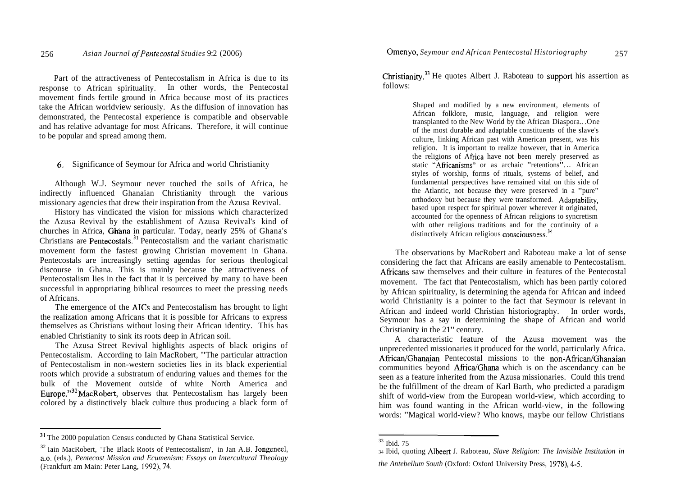Part of the attractiveness of Pentecostalism in Africa is due to its response to African spirituality. In other words, the Pentecostal movement finds fertile ground in Africa because most of its practices take the African worldview seriously. As the diffusion of innovation has demonstrated, the Pentecostal experience is compatible and observable and has relative advantage for most Africans. Therefore, it will continue to be popular and spread among them.

#### 6. Significance of Seymour for Africa and world Christianity

Although W.J. Seymour never touched the soils of Africa, he indirectly influenced Ghanaian Christianity through the various missionary agencies that drew their inspiration from the Azusa Revival.

History has vindicated the vision for missions which characterized the Azusa Revival by the establishment of Azusa Revival's kind of churches in Africa, Gkana in particular. Today, nearly 25% of Ghana's Christians are Pentecostals.<sup>31</sup> Pentecostalism and the variant charismatic movement form the fastest growing Christian movement in Ghana. Pentecostals are increasingly setting agendas for serious theological discourse in Ghana. This is mainly because the attractiveness of Pentecostalism lies in the fact that it is perceived by many to have been successful in appropriating biblical resources to meet the pressing needs of Africans.

The emergence of the AICs and Pentecostalism has brought to light the realization among Africans that it is possible for Africans to express themselves as Christians without losing their African identity. This has enabled Christianity to sink its roots deep in African soil.

The Azusa Street Revival highlights aspects of black origins of Pentecostalism. According to Iain MacRobert, "The particular attraction of Pentecostalism in non-western societies lies in its black experiential roots which provide a substratum of enduring values and themes for the bulk of the Movement outside of white North America and Europe."<sup>32</sup> MacRobert, observes that Pentecostalism has largely been colored by a distinctively black culture thus producing a black form of Christianity.<sup>33</sup> He quotes Albert J. Raboteau to support his assertion as follows:

> Shaped and modified by a new environment, elements of African folklore, music, language, and religion were transplanted to the New World by the African Diaspora.. .One of the most durable and adaptable constituents of the slave's culture, linking African past with American present, was his religion. It is important to realize however, that in America the religions of AFrica have not been merely preserved as static "Africanisms" or as archaic "retentions"... African styles of worship, forms of rituals, systems of belief, and fundamental perspectives have remained vital on this side of the Atlantic, not because they were preserved in a "pure" orthodoxy but because they were transformed. AdaptabiIity, based upon respect for spiritual power wherever it originated, accounted for the openness of African religions to syncretism with other religious traditions and for the continuity of a distinctively African religious consciousness. $^{34}$

The observations by MacRobert and Raboteau make a lot of sense considering the fact that Africans are easily amenable to Pentecostalism. Africans saw themselves and their culture in features of the Pentecostal movement. The fact that Pentecostalism, which has been partly colored by African spirituality, is determining the agenda for African and indeed world Christianity is a pointer to the fact that Seymour is relevant in African and indeed world Christian historiography. In order words, Seymour has a say in determining the shape of African and world Christianity in the 21" century.

A characteristic feature of the Azusa movement was the unprecedented missionaries it produced for the world, particularly Africa. African/Ghanaian Pentecostal missions to the non-African/Ghanaian communities beyond Africa/Ghana which is on the ascendancy can be seen as a feature inherited from the Azusa missionaries. Could this trend be the fulfillment of the dream of Karl Barth, who predicted a paradigm shift of world-view from the European world-view, which according to him was found wanting in the African world-view, in the following words: "Magical world-view? Who knows, maybe our fellow Christians

<sup>&</sup>lt;sup>31</sup> The 2000 population Census conducted by Ghana Statistical Service.

<sup>&</sup>lt;sup>32</sup> Iain MacRobert, 'The Black Roots of Pentecostalism', in Jan A.B. Jongeneel, a.0. (eds.), *Pentecost Mission and Ecumenism: Essays on Intercultural Theology*  (Frankfurt am Main: Peter Lang, 1992), 74.

 $33$  Ibid. 75

<sup>34</sup> Ibid, quoting Albeert J. Raboteau, *Slave Religion: The Invisible Institution in the Antebellum South* (Oxford: Oxford University Press, 1978), 4-5.